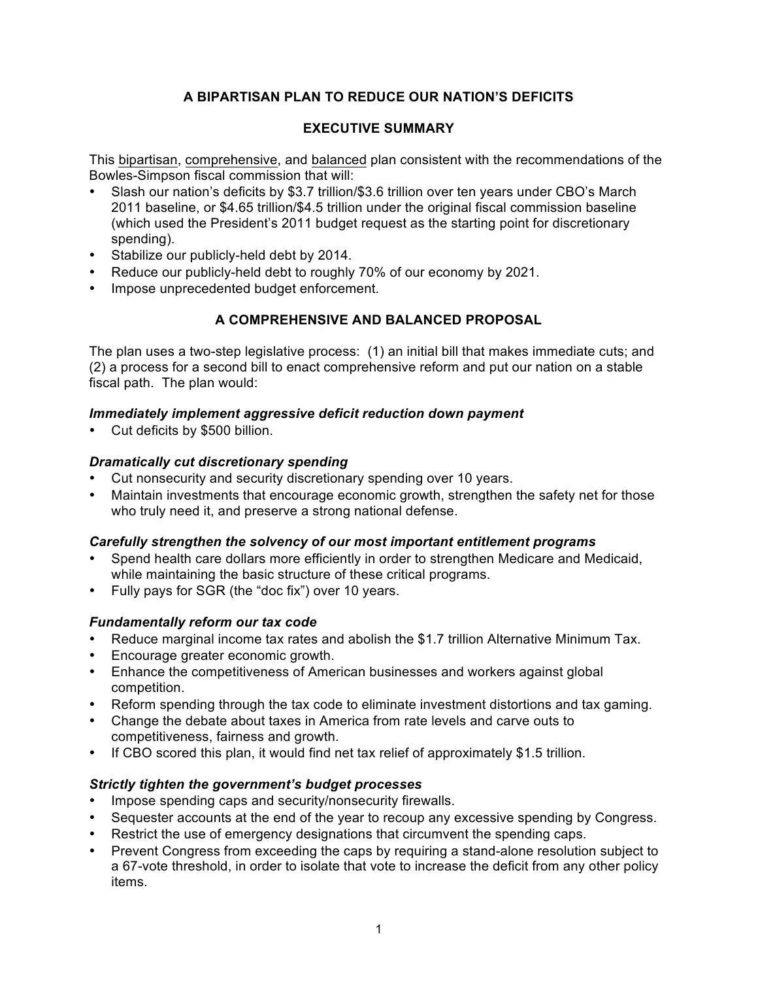# **A BIPARTISAN PLAN TO REDUCE OUR NATION'S DEFICITS**

### **EXECUTIVE SUMMARY**

This bipartisan, comprehensive, and balanced plan consistent with the recommendations of the Bowles-Simpson fiscal commission that will:

- Slash our nation's deficits by \$3.7 trillion/\$3.6 trillion over ten years under CBO's March 2011 baseline, or \$4.65 trillion/\$4.5 trillion under the original fiscal commission baseline (which used the President's 2011 budget request as the starting point for discretionary spending).
- Stabilize our publicly-held debt by 2014.
- Reduce our publicly-held debt to roughly 70% of our economy by 2021.
- Impose unprecedented budget enforcement.

## **A COMPREHENSIVE AND BALANCED PROPOSAL**

The plan uses a two-step legislative process: (1) an initial bill that makes immediate cuts; and (2) a process for a second bill to enact comprehensive reform and put our nation on a stable fiscal path. The plan would:

#### *Immediately implement aggressive deficit reduction down payment*

Cut deficits by \$500 billion.

#### *Dramatically cut discretionary spending*

- Cut nonsecurity and security discretionary spending over 10 years.
- Maintain investments that encourage economic growth, strengthen the safety net for those who truly need it, and preserve a strong national defense.

#### *Carefully strengthen the solvency of our most important entitlement programs*

- Spend health care dollars more efficiently in order to strengthen Medicare and Medicaid, while maintaining the basic structure of these critical programs.
- Fully pays for SGR (the "doc fix") over 10 years.

#### *Fundamentally reform our tax code*

- Reduce marginal income tax rates and abolish the \$1.7 trillion Alternative Minimum Tax.
- Encourage greater economic growth.
- Enhance the competitiveness of American businesses and workers against global competition.
- Reform spending through the tax code to eliminate investment distortions and tax gaming.
- Change the debate about taxes in America from rate levels and carve outs to competitiveness, fairness and growth.
- If CBO scored this plan, it would find net tax relief of approximately \$1.5 trillion.

#### *Strictly tighten the government's budget processes*

- Impose spending caps and security/nonsecurity firewalls.
- Sequester accounts at the end of the year to recoup any excessive spending by Congress.
- Restrict the use of emergency designations that circumvent the spending caps.
- Prevent Congress from exceeding the caps by requiring a stand-alone resolution subject to a 67-vote threshold, in order to isolate that vote to increase the deficit from any other policy items.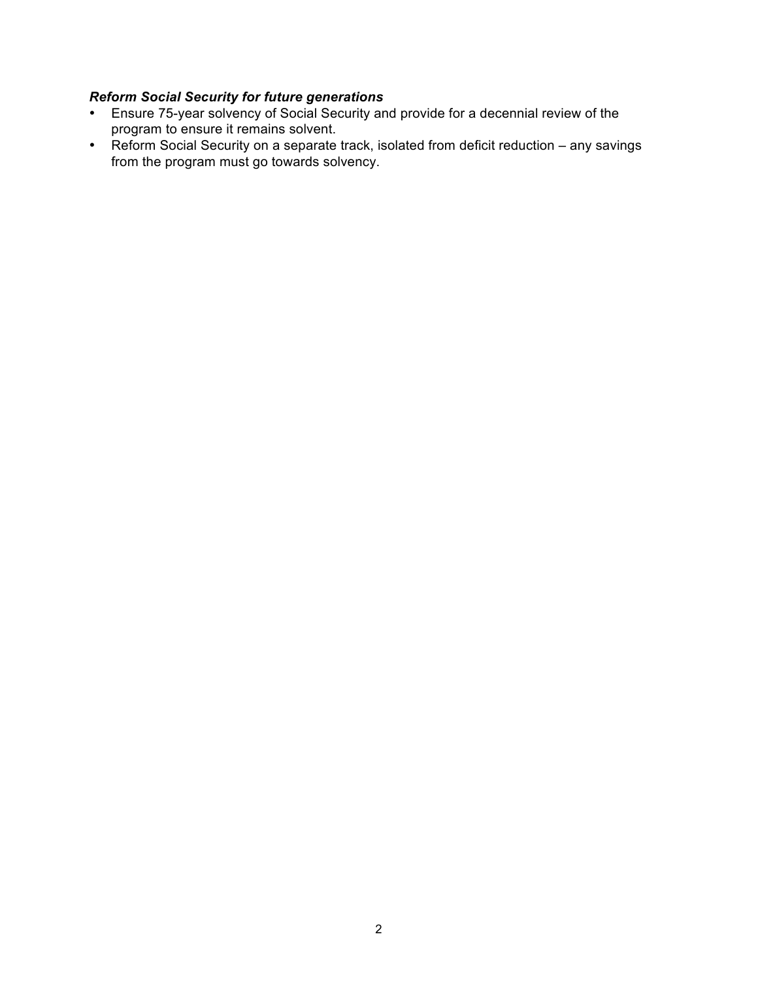### *Reform Social Security for future generations*

- Ensure 75-year solvency of Social Security and provide for a decennial review of the program to ensure it remains solvent.
- Reform Social Security on a separate track, isolated from deficit reduction any savings from the program must go towards solvency.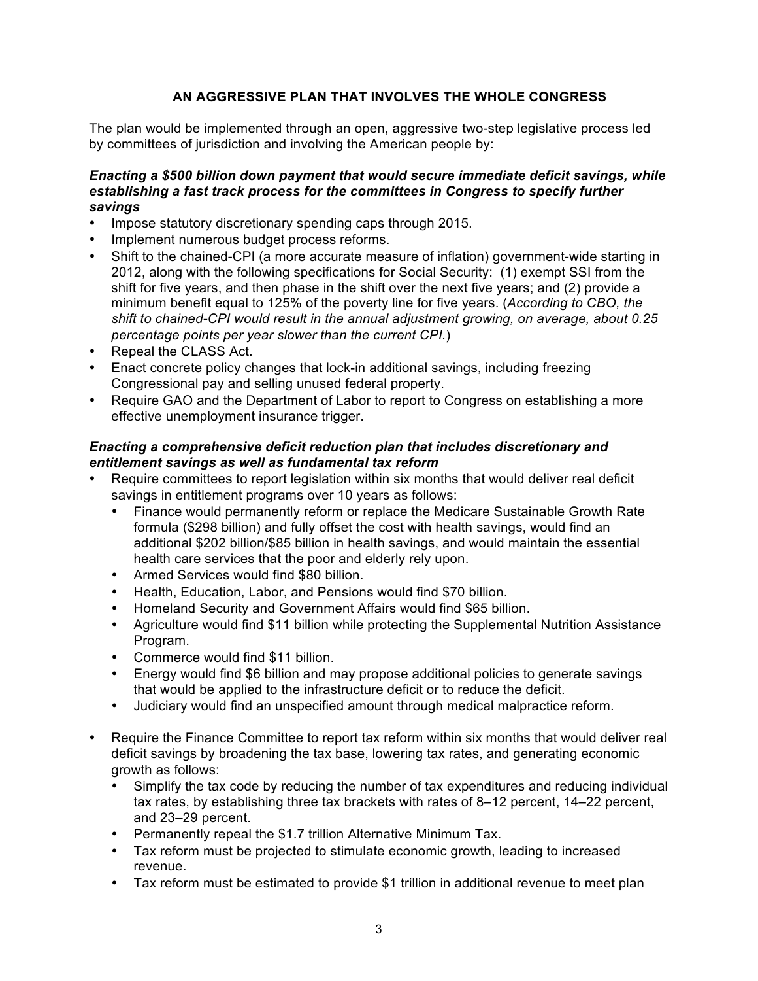## **AN AGGRESSIVE PLAN THAT INVOLVES THE WHOLE CONGRESS**

The plan would be implemented through an open, aggressive two-step legislative process led by committees of jurisdiction and involving the American people by:

#### *Enacting a \$500 billion down payment that would secure immediate deficit savings, while establishing a fast track process for the committees in Congress to specify further savings*

- Impose statutory discretionary spending caps through 2015.
- Implement numerous budget process reforms.
- Shift to the chained-CPI (a more accurate measure of inflation) government-wide starting in 2012, along with the following specifications for Social Security: (1) exempt SSI from the shift for five years, and then phase in the shift over the next five years; and (2) provide a minimum benefit equal to 125% of the poverty line for five years. (*According to CBO, the shift to chained-CPI would result in the annual adjustment growing, on average, about 0.25 percentage points per year slower than the current CPI.*)
- Repeal the CLASS Act.
- Enact concrete policy changes that lock-in additional savings, including freezing Congressional pay and selling unused federal property.
- Require GAO and the Department of Labor to report to Congress on establishing a more effective unemployment insurance trigger.

#### *Enacting a comprehensive deficit reduction plan that includes discretionary and entitlement savings as well as fundamental tax reform*

- Require committees to report legislation within six months that would deliver real deficit savings in entitlement programs over 10 years as follows:
	- Finance would permanently reform or replace the Medicare Sustainable Growth Rate formula (\$298 billion) and fully offset the cost with health savings, would find an additional \$202 billion/\$85 billion in health savings, and would maintain the essential health care services that the poor and elderly rely upon.
	- Armed Services would find \$80 billion.
	- Health, Education, Labor, and Pensions would find \$70 billion.
	- Homeland Security and Government Affairs would find \$65 billion.
	- Agriculture would find \$11 billion while protecting the Supplemental Nutrition Assistance Program.
	- Commerce would find \$11 billion.
	- Energy would find \$6 billion and may propose additional policies to generate savings that would be applied to the infrastructure deficit or to reduce the deficit.
	- Judiciary would find an unspecified amount through medical malpractice reform.
- Require the Finance Committee to report tax reform within six months that would deliver real deficit savings by broadening the tax base, lowering tax rates, and generating economic growth as follows:
	- Simplify the tax code by reducing the number of tax expenditures and reducing individual tax rates, by establishing three tax brackets with rates of 8–12 percent, 14–22 percent, and 23–29 percent.
	- Permanently repeal the \$1.7 trillion Alternative Minimum Tax.
	- Tax reform must be projected to stimulate economic growth, leading to increased revenue.
	- Tax reform must be estimated to provide \$1 trillion in additional revenue to meet plan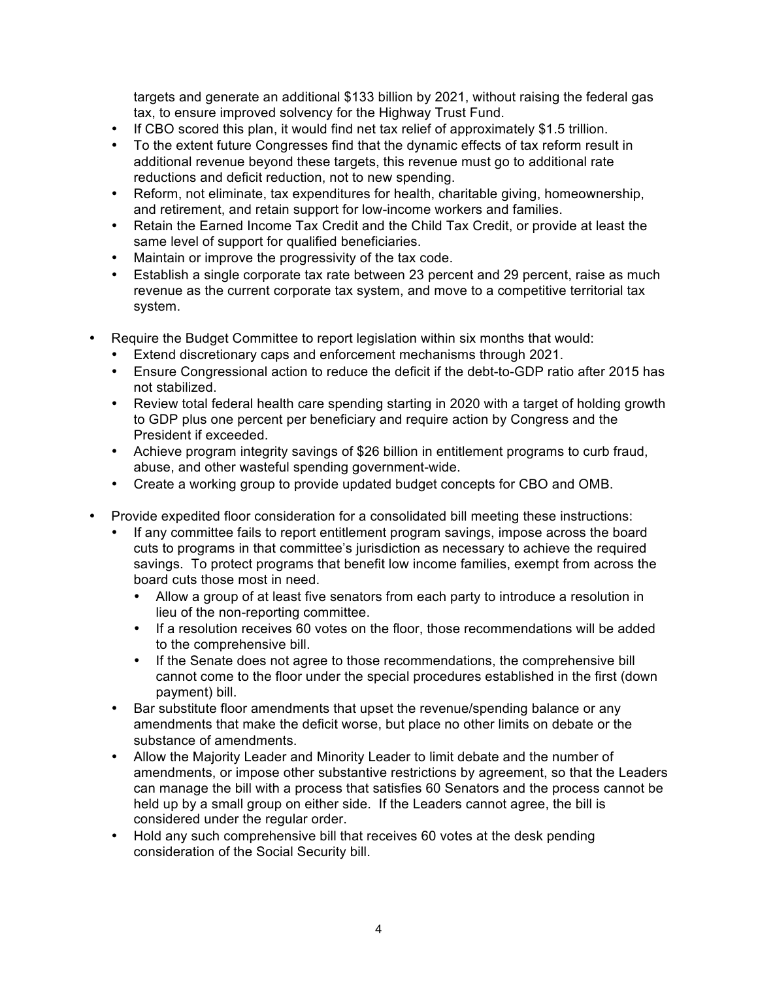targets and generate an additional \$133 billion by 2021, without raising the federal gas tax, to ensure improved solvency for the Highway Trust Fund.

- If CBO scored this plan, it would find net tax relief of approximately \$1.5 trillion.
- To the extent future Congresses find that the dynamic effects of tax reform result in additional revenue beyond these targets, this revenue must go to additional rate reductions and deficit reduction, not to new spending.
- Reform, not eliminate, tax expenditures for health, charitable giving, homeownership, and retirement, and retain support for low-income workers and families.
- Retain the Earned Income Tax Credit and the Child Tax Credit, or provide at least the same level of support for qualified beneficiaries.
- Maintain or improve the progressivity of the tax code.
- Establish a single corporate tax rate between 23 percent and 29 percent, raise as much revenue as the current corporate tax system, and move to a competitive territorial tax system.
- Require the Budget Committee to report legislation within six months that would:
	- Extend discretionary caps and enforcement mechanisms through 2021.
	- Ensure Congressional action to reduce the deficit if the debt-to-GDP ratio after 2015 has not stabilized.
	- Review total federal health care spending starting in 2020 with a target of holding growth to GDP plus one percent per beneficiary and require action by Congress and the President if exceeded.
	- Achieve program integrity savings of \$26 billion in entitlement programs to curb fraud, abuse, and other wasteful spending government-wide.
	- Create a working group to provide updated budget concepts for CBO and OMB.
- Provide expedited floor consideration for a consolidated bill meeting these instructions:
	- If any committee fails to report entitlement program savings, impose across the board cuts to programs in that committee's jurisdiction as necessary to achieve the required savings. To protect programs that benefit low income families, exempt from across the board cuts those most in need.
		- Allow a group of at least five senators from each party to introduce a resolution in lieu of the non-reporting committee.
		- If a resolution receives 60 votes on the floor, those recommendations will be added to the comprehensive bill.
		- If the Senate does not agree to those recommendations, the comprehensive bill cannot come to the floor under the special procedures established in the first (down payment) bill.
	- Bar substitute floor amendments that upset the revenue/spending balance or any amendments that make the deficit worse, but place no other limits on debate or the substance of amendments.
	- Allow the Majority Leader and Minority Leader to limit debate and the number of amendments, or impose other substantive restrictions by agreement, so that the Leaders can manage the bill with a process that satisfies 60 Senators and the process cannot be held up by a small group on either side. If the Leaders cannot agree, the bill is considered under the regular order.
	- Hold any such comprehensive bill that receives 60 votes at the desk pending consideration of the Social Security bill.